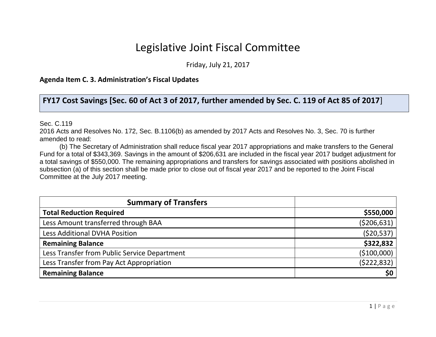## Legislative Joint Fiscal Committee

Friday, July 21, 2017

**Agenda Item C. 3. Administration's Fiscal Updates**

**FY17 Cost Savings [Sec. 60 of Act 3 of 2017, further amended by Sec. C. 119 of Act 85 of 2017**]

Sec. C.119

2016 Acts and Resolves No. 172, Sec. B.1106(b) as amended by 2017 Acts and Resolves No. 3, Sec. 70 is further amended to read:

(b) The Secretary of Administration shall reduce fiscal year 2017 appropriations and make transfers to the General Fund for a total of \$343,369. Savings in the amount of \$206,631 are included in the fiscal year 2017 budget adjustment for a total savings of \$550,000. The remaining appropriations and transfers for savings associated with positions abolished in subsection (a) of this section shall be made prior to close out of fiscal year 2017 and be reported to the Joint Fiscal Committee at the July 2017 meeting.

| <b>Summary of Transfers</b>                  |              |
|----------------------------------------------|--------------|
| <b>Total Reduction Required</b>              | \$550,000    |
| Less Amount transferred through BAA          | (5206, 631)  |
| Less Additional DVHA Position                | (520, 537)   |
| <b>Remaining Balance</b>                     | \$322,832    |
| Less Transfer from Public Service Department | ( \$100,000] |
| Less Transfer from Pay Act Appropriation     | (5222, 832)  |
| <b>Remaining Balance</b>                     | \$0          |